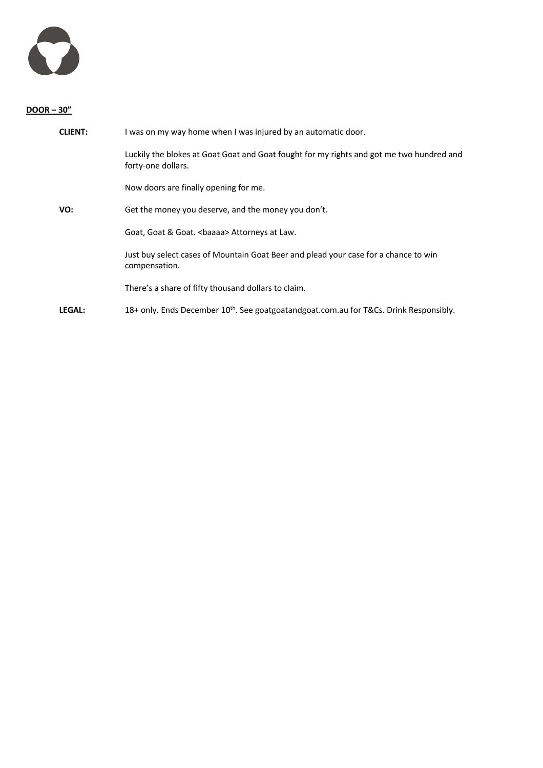

## **DOOR – 30"**

| <b>CLIENT:</b> | I was on my way home when I was injured by an automatic door.                                                  |
|----------------|----------------------------------------------------------------------------------------------------------------|
|                | Luckily the blokes at Goat Goat and Goat fought for my rights and got me two hundred and<br>forty-one dollars. |
|                | Now doors are finally opening for me.                                                                          |
| VO:            | Get the money you deserve, and the money you don't.                                                            |
|                | Goat, Goat & Goat. <baaaa> Attorneys at Law.</baaaa>                                                           |
|                | Just buy select cases of Mountain Goat Beer and plead your case for a chance to win<br>compensation.           |
|                | There's a share of fifty thousand dollars to claim.                                                            |
| LEGAL:         | 18+ only. Ends December $10^{th}$ . See goatgoatandgoat.com.au for T&Cs. Drink Responsibly.                    |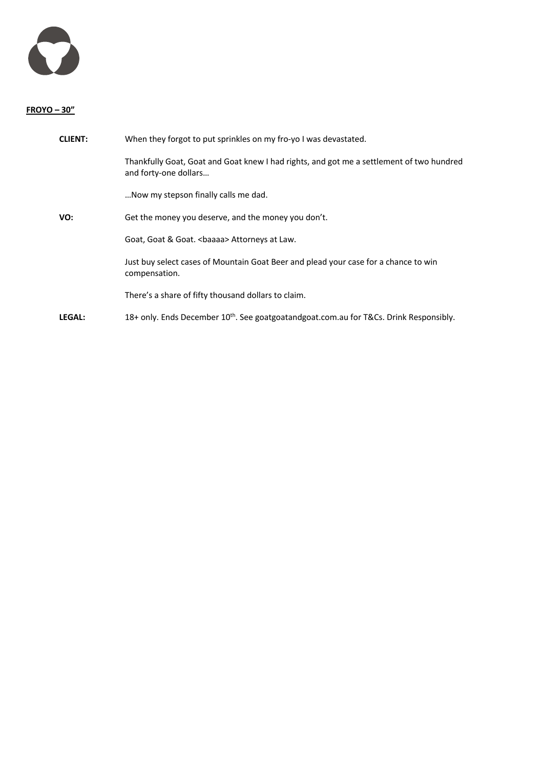

## **FROYO – 30"**

| <b>CLIENT:</b> | When they forgot to put sprinkles on my fro-yo I was devastated.                                                  |
|----------------|-------------------------------------------------------------------------------------------------------------------|
|                | Thankfully Goat, Goat and Goat knew I had rights, and got me a settlement of two hundred<br>and forty-one dollars |
|                | Now my stepson finally calls me dad.                                                                              |
| VO:            | Get the money you deserve, and the money you don't.                                                               |
|                | Goat, Goat & Goat.<br>baaaa> Attorneys at Law.                                                                    |
|                | Just buy select cases of Mountain Goat Beer and plead your case for a chance to win<br>compensation.              |
|                | There's a share of fifty thousand dollars to claim.                                                               |
| <b>LEGAL:</b>  | 18+ only. Ends December $10^{th}$ . See goatgoatandgoat.com.au for T&Cs. Drink Responsibly.                       |
|                |                                                                                                                   |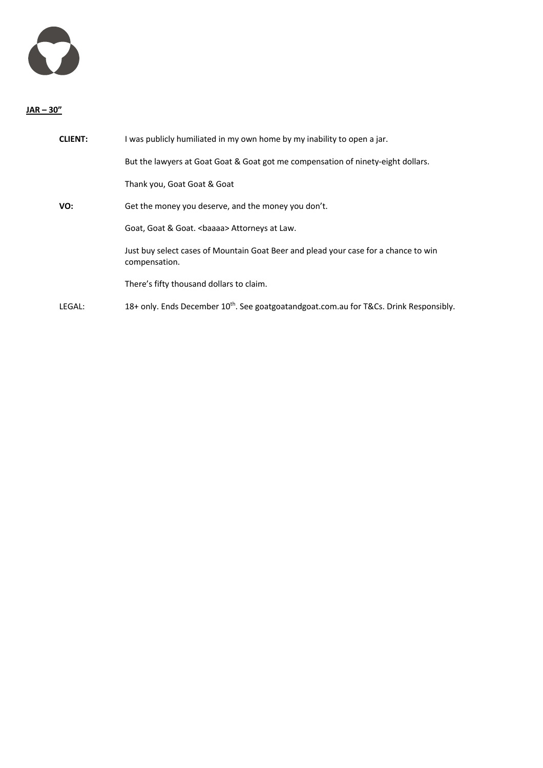

## **JAR – 30"**

| <b>CLIENT:</b> | I was publicly humiliated in my own home by my inability to open a jar.                              |
|----------------|------------------------------------------------------------------------------------------------------|
|                | But the lawyers at Goat Goat & Goat got me compensation of ninety-eight dollars.                     |
|                | Thank you, Goat Goat & Goat                                                                          |
| VO:            | Get the money you deserve, and the money you don't.                                                  |
|                | Goat, Goat & Goat.<br>baaaa> Attorneys at Law.                                                       |
|                | Just buy select cases of Mountain Goat Beer and plead your case for a chance to win<br>compensation. |
|                | There's fifty thousand dollars to claim.                                                             |
| LEGAL:         | 18+ only. Ends December 10 <sup>th</sup> . See goatgoatandgoat.com.au for T&Cs. Drink Responsibly.   |